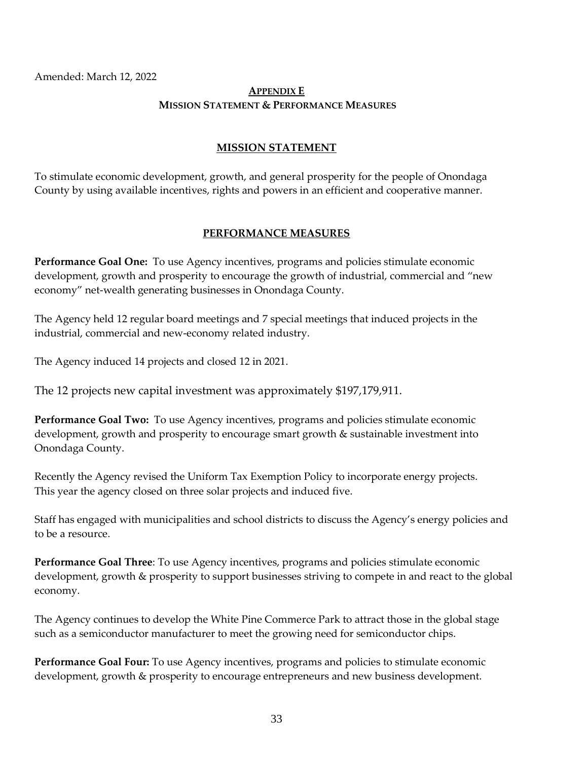Amended: March 12, 2022

## **APPENDIX E MISSION STATEMENT & PERFORMANCE MEASURES**

## **MISSION STATEMENT**

To stimulate economic development, growth, and general prosperity for the people of Onondaga County by using available incentives, rights and powers in an efficient and cooperative manner.

## **PERFORMANCE MEASURES**

**Performance Goal One:** To use Agency incentives, programs and policies stimulate economic development, growth and prosperity to encourage the growth of industrial, commercial and "new economy" net-wealth generating businesses in Onondaga County.

The Agency held 12 regular board meetings and 7 special meetings that induced projects in the industrial, commercial and new-economy related industry.

The Agency induced 14 projects and closed 12 in 2021.

The 12 projects new capital investment was approximately \$197,179,911.

**Performance Goal Two:** To use Agency incentives, programs and policies stimulate economic development, growth and prosperity to encourage smart growth & sustainable investment into Onondaga County.

Recently the Agency revised the Uniform Tax Exemption Policy to incorporate energy projects. This year the agency closed on three solar projects and induced five.

Staff has engaged with municipalities and school districts to discuss the Agency's energy policies and to be a resource.

**Performance Goal Three**: To use Agency incentives, programs and policies stimulate economic development, growth & prosperity to support businesses striving to compete in and react to the global economy.

The Agency continues to develop the White Pine Commerce Park to attract those in the global stage such as a semiconductor manufacturer to meet the growing need for semiconductor chips.

**Performance Goal Four:** To use Agency incentives, programs and policies to stimulate economic development, growth & prosperity to encourage entrepreneurs and new business development.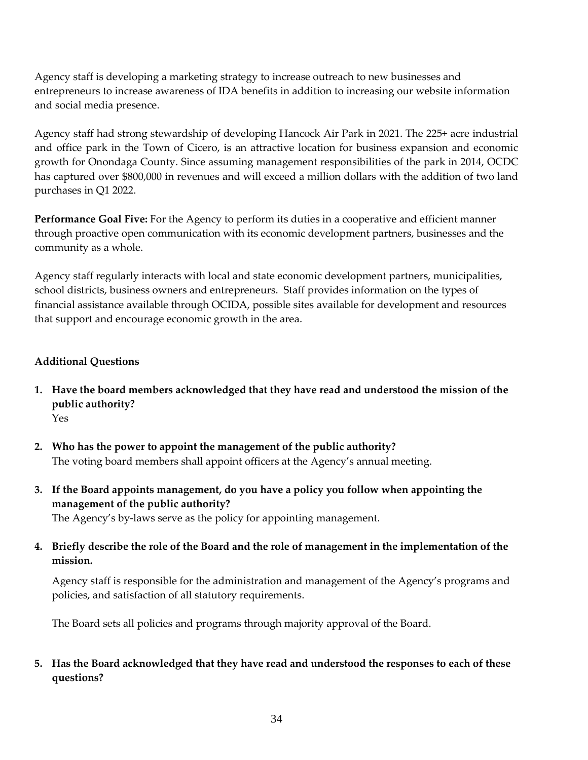Agency staff is developing a marketing strategy to increase outreach to new businesses and entrepreneurs to increase awareness of IDA benefits in addition to increasing our website information and social media presence.

Agency staff had strong stewardship of developing Hancock Air Park in 2021. The 225+ acre industrial and office park in the Town of Cicero, is an attractive location for business expansion and economic growth for Onondaga County. Since assuming management responsibilities of the park in 2014, OCDC has captured over \$800,000 in revenues and will exceed a million dollars with the addition of two land purchases in Q1 2022.

**Performance Goal Five:** For the Agency to perform its duties in a cooperative and efficient manner through proactive open communication with its economic development partners, businesses and the community as a whole.

Agency staff regularly interacts with local and state economic development partners, municipalities, school districts, business owners and entrepreneurs. Staff provides information on the types of financial assistance available through OCIDA, possible sites available for development and resources that support and encourage economic growth in the area.

## **Additional Questions**

- **1. Have the board members acknowledged that they have read and understood the mission of the public authority?**  Yes
- **2. Who has the power to appoint the management of the public authority?** The voting board members shall appoint officers at the Agency's annual meeting.
- **3. If the Board appoints management, do you have a policy you follow when appointing the management of the public authority?**

The Agency's by-laws serve as the policy for appointing management.

**4. Briefly describe the role of the Board and the role of management in the implementation of the mission.**

Agency staff is responsible for the administration and management of the Agency's programs and policies, and satisfaction of all statutory requirements.

The Board sets all policies and programs through majority approval of the Board.

**5. Has the Board acknowledged that they have read and understood the responses to each of these questions?**